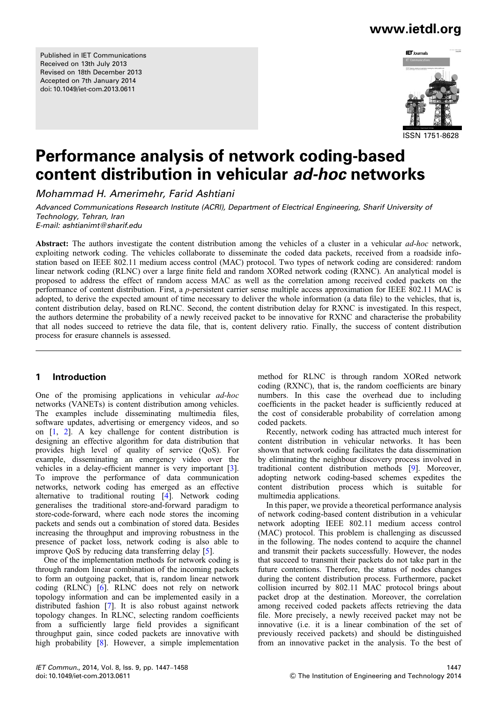Published in IET Communications Received on 13th July 2013 Revised on 18th December 2013 Accepted on 7th January 2014 doi: 10.1049/iet-com.2013.0611



# Performance analysis of network coding-based content distribution in vehicular ad-hoc networks

Mohammad H. Amerimehr, Farid Ashtiani

Advanced Communications Research Institute (ACRI), Department of Electrical Engineering, Sharif University of Technology, Tehran, Iran

E-mail: ashtianimt@sharif.edu

Abstract: The authors investigate the content distribution among the vehicles of a cluster in a vehicular *ad-hoc* network, exploiting network coding. The vehicles collaborate to disseminate the coded data packets, received from a roadside infostation based on IEEE 802.11 medium access control (MAC) protocol. Two types of network coding are considered: random linear network coding (RLNC) over a large finite field and random XORed network coding (RXNC). An analytical model is proposed to address the effect of random access MAC as well as the correlation among received coded packets on the performance of content distribution. First, a p-persistent carrier sense multiple access approximation for IEEE 802.11 MAC is adopted, to derive the expected amount of time necessary to deliver the whole information (a data file) to the vehicles, that is, content distribution delay, based on RLNC. Second, the content distribution delay for RXNC is investigated. In this respect, the authors determine the probability of a newly received packet to be innovative for RXNC and characterise the probability that all nodes succeed to retrieve the data file, that is, content delivery ratio. Finally, the success of content distribution process for erasure channels is assessed.

#### 1 Introduction

One of the promising applications in vehicular ad-hoc networks (VANETs) is content distribution among vehicles. The examples include disseminating multimedia files, software updates, advertising or emergency videos, and so on [1, 2]. A key challenge for content distribution is designing an effective algorithm for data distribution that provides high level of quality of service (QoS). For example, disseminating an emergency video over the vehicles in a delay-efficient manner is very important [3]. To improve the performance of data communication networks, network coding has emerged as an effective alternative to traditional routing [4]. Network coding generalises the traditional store-and-forward paradigm to store-code-forward, where each node stores the incoming packets and sends out a combination of stored data. Besides increasing the throughput and improving robustness in the presence of packet loss, network coding is also able to improve QoS by reducing data transferring delay [5].

One of the implementation methods for network coding is through random linear combination of the incoming packets to form an outgoing packet, that is, random linear network coding (RLNC) [6]. RLNC does not rely on network topology information and can be implemented easily in a distributed fashion [7]. It is also robust against network topology changes. In RLNC, selecting random coefficients from a sufficiently large field provides a significant throughput gain, since coded packets are innovative with high probability [8]. However, a simple implementation method for RLNC is through random XORed network coding (RXNC), that is, the random coefficients are binary numbers. In this case the overhead due to including coefficients in the packet header is sufficiently reduced at the cost of considerable probability of correlation among coded packets.

Recently, network coding has attracted much interest for content distribution in vehicular networks. It has been shown that network coding facilitates the data dissemination by eliminating the neighbour discovery process involved in traditional content distribution methods [9]. Moreover, adopting network coding-based schemes expedites the content distribution process which is suitable for multimedia applications.

In this paper, we provide a theoretical performance analysis of network coding-based content distribution in a vehicular network adopting IEEE 802.11 medium access control (MAC) protocol. This problem is challenging as discussed in the following. The nodes contend to acquire the channel and transmit their packets successfully. However, the nodes that succeed to transmit their packets do not take part in the future contentions. Therefore, the status of nodes changes during the content distribution process. Furthermore, packet collision incurred by 802.11 MAC protocol brings about packet drop at the destination. Moreover, the correlation among received coded packets affects retrieving the data file. More precisely, a newly received packet may not be innovative (i.e. it is a linear combination of the set of previously received packets) and should be distinguished from an innovative packet in the analysis. To the best of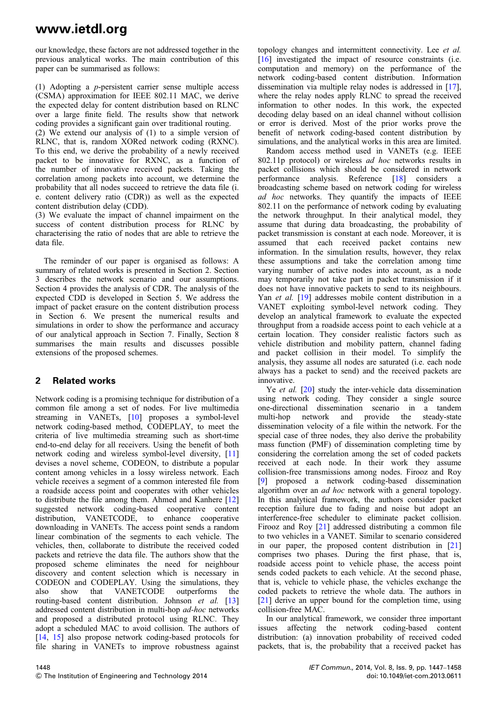our knowledge, these factors are not addressed together in the previous analytical works. The main contribution of this paper can be summarised as follows:

(1) Adopting a p-persistent carrier sense multiple access (CSMA) approximation for IEEE 802.11 MAC, we derive the expected delay for content distribution based on RLNC over a large finite field. The results show that network coding provides a significant gain over traditional routing.

(2) We extend our analysis of (1) to a simple version of RLNC, that is, random XORed network coding (RXNC). To this end, we derive the probability of a newly received packet to be innovative for RXNC, as a function of the number of innovative received packets. Taking the correlation among packets into account, we determine the probability that all nodes succeed to retrieve the data file (i. e. content delivery ratio (CDR)) as well as the expected content distribution delay (CDD).

(3) We evaluate the impact of channel impairment on the success of content distribution process for RLNC by characterising the ratio of nodes that are able to retrieve the data file.

The reminder of our paper is organised as follows: A summary of related works is presented in Section 2. Section 3 describes the network scenario and our assumptions. Section 4 provides the analysis of CDR. The analysis of the expected CDD is developed in Section 5. We address the impact of packet erasure on the content distribution process in Section 6. We present the numerical results and simulations in order to show the performance and accuracy of our analytical approach in Section 7. Finally, Section 8 summarises the main results and discusses possible extensions of the proposed schemes.

### 2 Related works

Network coding is a promising technique for distribution of a common file among a set of nodes. For live multimedia streaming in VANETs, [10] proposes a symbol-level network coding-based method, CODEPLAY, to meet the criteria of live multimedia streaming such as short-time end-to-end delay for all receivers. Using the benefit of both network coding and wireless symbol-level diversity, [11] devises a novel scheme, CODEON, to distribute a popular content among vehicles in a lossy wireless network. Each vehicle receives a segment of a common interested file from a roadside access point and cooperates with other vehicles to distribute the file among them. Ahmed and Kanhere [12] suggested network coding-based cooperative content distribution, VANETCODE, to enhance cooperative downloading in VANETs. The access point sends a random linear combination of the segments to each vehicle. The vehicles, then, collaborate to distribute the received coded packets and retrieve the data file. The authors show that the proposed scheme eliminates the need for neighbour discovery and content selection which is necessary in CODEON and CODEPLAY. Using the simulations, they also show that VANETCODE outperforms the routing-based content distribution. Johnson et al. [13] addressed content distribution in multi-hop ad-hoc networks and proposed a distributed protocol using RLNC. They adopt a scheduled MAC to avoid collision. The authors of [14, 15] also propose network coding-based protocols for file sharing in VANETs to improve robustness against

topology changes and intermittent connectivity. Lee et al. [16] investigated the impact of resource constraints (i.e. computation and memory) on the performance of the network coding-based content distribution. Information dissemination via multiple relay nodes is addressed in [17], where the relay nodes apply RLNC to spread the received information to other nodes. In this work, the expected decoding delay based on an ideal channel without collision or error is derived. Most of the prior works prove the benefit of network coding-based content distribution by simulations, and the analytical works in this area are limited.

Random access method used in VANETs (e.g. IEEE 802.11p protocol) or wireless ad hoc networks results in packet collisions which should be considered in network performance analysis. Reference [18] considers a broadcasting scheme based on network coding for wireless ad hoc networks. They quantify the impacts of IEEE 802.11 on the performance of network coding by evaluating the network throughput. In their analytical model, they assume that during data broadcasting, the probability of packet transmission is constant at each node. Moreover, it is assumed that each received packet contains new information. In the simulation results, however, they relax these assumptions and take the correlation among time varying number of active nodes into account, as a node may temporarily not take part in packet transmission if it does not have innovative packets to send to its neighbours. Yan et al. [19] addresses mobile content distribution in a VANET exploiting symbol-level network coding. They develop an analytical framework to evaluate the expected throughput from a roadside access point to each vehicle at a certain location. They consider realistic factors such as vehicle distribution and mobility pattern, channel fading and packet collision in their model. To simplify the analysis, they assume all nodes are saturated (i.e. each node always has a packet to send) and the received packets are innovative.

Ye *et al.* [20] study the inter-vehicle data dissemination using network coding. They consider a single source one-directional dissemination scenario in a tandem multi-hop network and provide the steady-state dissemination velocity of a file within the network. For the special case of three nodes, they also derive the probability mass function (PMF) of dissemination completing time by considering the correlation among the set of coded packets received at each node. In their work they assume collision-free transmissions among nodes. Firooz and Roy [9] proposed a network coding-based dissemination algorithm over an ad hoc network with a general topology. In this analytical framework, the authors consider packet reception failure due to fading and noise but adopt an interference-free scheduler to eliminate packet collision. Firooz and Roy [21] addressed distributing a common file to two vehicles in a VANET. Similar to scenario considered in our paper, the proposed content distribution in [21] comprises two phases. During the first phase, that is, roadside access point to vehicle phase, the access point sends coded packets to each vehicle. At the second phase, that is, vehicle to vehicle phase, the vehicles exchange the coded packets to retrieve the whole data. The authors in [21] derive an upper bound for the completion time, using collision-free MAC.

In our analytical framework, we consider three important issues affecting the network coding-based content distribution: (a) innovation probability of received coded packets, that is, the probability that a received packet has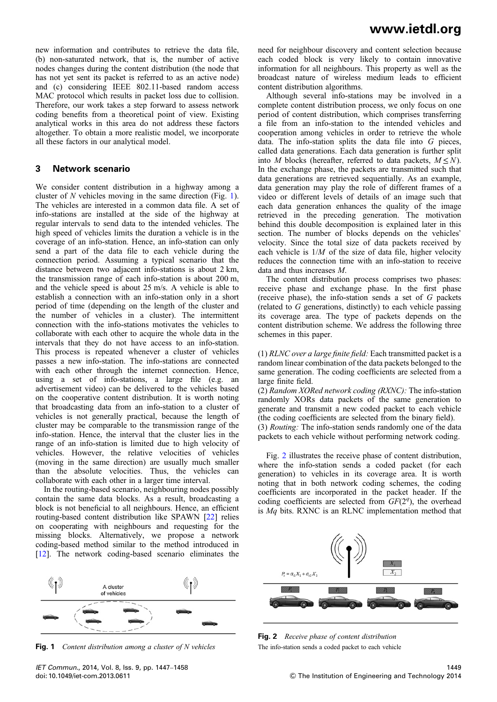new information and contributes to retrieve the data file, (b) non-saturated network, that is, the number of active nodes changes during the content distribution (the node that has not yet sent its packet is referred to as an active node) and (c) considering IEEE 802.11-based random access MAC protocol which results in packet loss due to collision. Therefore, our work takes a step forward to assess network coding benefits from a theoretical point of view. Existing analytical works in this area do not address these factors altogether. To obtain a more realistic model, we incorporate all these factors in our analytical model.

#### 3 Network scenario

We consider content distribution in a highway among a cluster of N vehicles moving in the same direction (Fig. 1). The vehicles are interested in a common data file. A set of info-stations are installed at the side of the highway at regular intervals to send data to the intended vehicles. The high speed of vehicles limits the duration a vehicle is in the coverage of an info-station. Hence, an info-station can only send a part of the data file to each vehicle during the connection period. Assuming a typical scenario that the distance between two adjacent info-stations is about 2 km, the transmission range of each info-station is about 200 m, and the vehicle speed is about 25 m/s. A vehicle is able to establish a connection with an info-station only in a short period of time (depending on the length of the cluster and the number of vehicles in a cluster). The intermittent connection with the info-stations motivates the vehicles to collaborate with each other to acquire the whole data in the intervals that they do not have access to an info-station. This process is repeated whenever a cluster of vehicles passes a new info-station. The info-stations are connected with each other through the internet connection. Hence, using a set of info-stations, a large file (e.g. an advertisement video) can be delivered to the vehicles based on the cooperative content distribution. It is worth noting that broadcasting data from an info-station to a cluster of vehicles is not generally practical, because the length of cluster may be comparable to the transmission range of the info-station. Hence, the interval that the cluster lies in the range of an info-station is limited due to high velocity of vehicles. However, the relative velocities of vehicles (moving in the same direction) are usually much smaller than the absolute velocities. Thus, the vehicles can collaborate with each other in a larger time interval.

In the routing-based scenario, neighbouring nodes possibly contain the same data blocks. As a result, broadcasting a block is not beneficial to all neighbours. Hence, an efficient routing-based content distribution like SPAWN [22] relies on cooperating with neighbours and requesting for the missing blocks. Alternatively, we propose a network coding-based method similar to the method introduced in [12]. The network coding-based scenario eliminates the



**Fig. 1** Content distribution among a cluster of  $N$  vehicles

IET Commun., 2014, Vol. 8, Iss. 9, pp. 1447–1458 doi: 10.1049/iet-com.2013.0611

need for neighbour discovery and content selection because each coded block is very likely to contain innovative information for all neighbours. This property as well as the broadcast nature of wireless medium leads to efficient content distribution algorithms.

Although several info-stations may be involved in a complete content distribution process, we only focus on one period of content distribution, which comprises transferring a file from an info-station to the intended vehicles and cooperation among vehicles in order to retrieve the whole data. The info-station splits the data file into G pieces, called data generations. Each data generation is further split into M blocks (hereafter, referred to data packets,  $M \leq N$ ). In the exchange phase, the packets are transmitted such that data generations are retrieved sequentially. As an example, data generation may play the role of different frames of a video or different levels of details of an image such that each data generation enhances the quality of the image retrieved in the preceding generation. The motivation behind this double decomposition is explained later in this section. The number of blocks depends on the vehicles' velocity. Since the total size of data packets received by each vehicle is  $1/M$  of the size of data file, higher velocity reduces the connection time with an info-station to receive data and thus increases M.

The content distribution process comprises two phases: receive phase and exchange phase. In the first phase (receive phase), the info-station sends a set of G packets (related to G generations, distinctly) to each vehicle passing its coverage area. The type of packets depends on the content distribution scheme. We address the following three schemes in this paper.

(1) RLNC over a large finite field: Each transmitted packet is a random linear combination of the data packets belonged to the same generation. The coding coefficients are selected from a large finite field.

(2) Random XORed network coding (RXNC): The info-station randomly XORs data packets of the same generation to generate and transmit a new coded packet to each vehicle (the coding coefficients are selected from the binary field).

(3) Routing: The info-station sends randomly one of the data packets to each vehicle without performing network coding.

Fig. 2 illustrates the receive phase of content distribution, where the info-station sends a coded packet (for each generation) to vehicles in its coverage area. It is worth noting that in both network coding schemes, the coding coefficients are incorporated in the packet header. If the coding coefficients are selected from  $GF(2<sup>q</sup>)$ , the overhead is Mq bits. RXNC is an RLNC implementation method that



Fig. 2 Receive phase of content distribution The info-station sends a coded packet to each vehicle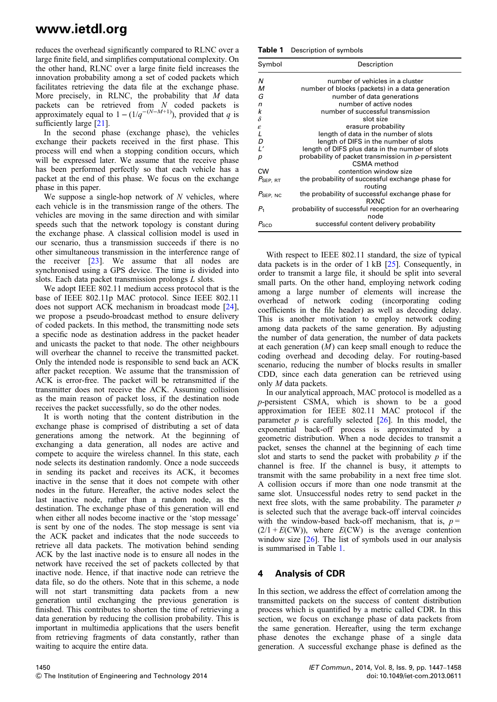reduces the overhead significantly compared to RLNC over a large finite field, and simplifies computational complexity. On the other hand, RLNC over a large finite field increases the innovation probability among a set of coded packets which facilitates retrieving the data file at the exchange phase. More precisely, in RLNC, the probability that  $\overline{M}$  data packets can be retrieved from N coded packets is approximately equal to  $1 - (1/q^{-(N-M+1)})$ , provided that q is sufficiently large [21].

In the second phase (exchange phase), the vehicles exchange their packets received in the first phase. This process will end when a stopping condition occurs, which will be expressed later. We assume that the receive phase has been performed perfectly so that each vehicle has a packet at the end of this phase. We focus on the exchange phase in this paper.

We suppose a single-hop network of  $N$  vehicles, where each vehicle is in the transmission range of the others. The vehicles are moving in the same direction and with similar speeds such that the network topology is constant during the exchange phase. A classical collision model is used in our scenario, thus a transmission succeeds if there is no other simultaneous transmission in the interference range of the receiver [23]. We assume that all nodes are synchronised using a GPS device. The time is divided into slots. Each data packet transmission prolongs L slots.

We adopt IEEE 802.11 medium access protocol that is the base of IEEE 802.11p MAC protocol. Since IEEE 802.11 does not support ACK mechanism in broadcast mode [24], we propose a pseudo-broadcast method to ensure delivery of coded packets. In this method, the transmitting node sets a specific node as destination address in the packet header and unicasts the packet to that node. The other neighbours will overhear the channel to receive the transmitted packet. Only the intended node is responsible to send back an ACK after packet reception. We assume that the transmission of ACK is error-free. The packet will be retransmitted if the transmitter does not receive the ACK. Assuming collision as the main reason of packet loss, if the destination node receives the packet successfully, so do the other nodes.

It is worth noting that the content distribution in the exchange phase is comprised of distributing a set of data generations among the network. At the beginning of exchanging a data generation, all nodes are active and compete to acquire the wireless channel. In this state, each node selects its destination randomly. Once a node succeeds in sending its packet and receives its ACK, it becomes inactive in the sense that it does not compete with other nodes in the future. Hereafter, the active nodes select the last inactive node, rather than a random node, as the destination. The exchange phase of this generation will end when either all nodes become inactive or the 'stop message' is sent by one of the nodes. The stop message is sent via the ACK packet and indicates that the node succeeds to retrieve all data packets. The motivation behind sending ACK by the last inactive node is to ensure all nodes in the network have received the set of packets collected by that inactive node. Hence, if that inactive node can retrieve the data file, so do the others. Note that in this scheme, a node will not start transmitting data packets from a new generation until exchanging the previous generation is finished. This contributes to shorten the time of retrieving a data generation by reducing the collision probability. This is important in multimedia applications that the users benefit from retrieving fragments of data constantly, rather than waiting to acquire the entire data.

Table 1 Description of symbols

| Symbol               | Description                                                     |
|----------------------|-----------------------------------------------------------------|
| N                    | number of vehicles in a cluster                                 |
| м                    | number of blocks (packets) in a data generation                 |
| G                    | number of data generations                                      |
| n                    | number of active nodes                                          |
| k                    | number of successful transmission                               |
| $\delta$             | slot size                                                       |
| ε                    | erasure probability                                             |
| L                    | length of data in the number of slots                           |
| D                    | length of DIFS in the number of slots                           |
| $\mathsf{I}'$        | length of DIFS plus data in the number of slots                 |
| р                    | probability of packet transmission in p-persistent              |
|                      | CSMA method                                                     |
| CW                   | contention window size                                          |
| $P_{\sf SEP. \; RT}$ | the probability of successful exchange phase for                |
|                      | routing                                                         |
| $P_{\text{SEP, NC}}$ | the probability of successful exchange phase for<br><b>RXNC</b> |
| $P_{1}$              | probability of successful reception for an overhearing<br>node  |
| $P_{SCD}$            | successful content delivery probability                         |

With respect to IEEE 802.11 standard, the size of typical data packets is in the order of 1 kB [25]. Consequently, in order to transmit a large file, it should be split into several small parts. On the other hand, employing network coding among a large number of elements will increase the overhead of network coding (incorporating coding coefficients in the file header) as well as decoding delay. This is another motivation to employ network coding among data packets of the same generation. By adjusting the number of data generation, the number of data packets at each generation  $(M)$  can keep small enough to reduce the coding overhead and decoding delay. For routing-based scenario, reducing the number of blocks results in smaller CDD, since each data generation can be retrieved using only M data packets.

In our analytical approach, MAC protocol is modelled as a p-persistent CSMA, which is shown to be a good approximation for IEEE 802.11 MAC protocol if the parameter  $p$  is carefully selected  $[26]$ . In this model, the exponential back-off process is approximated by a geometric distribution. When a node decides to transmit a packet, senses the channel at the beginning of each time slot and starts to send the packet with probability  $p$  if the channel is free. If the channel is busy, it attempts to transmit with the same probability in a next free time slot. A collision occurs if more than one node transmit at the same slot. Unsuccessful nodes retry to send packet in the next free slots, with the same probability. The parameter  $p$ is selected such that the average back-off interval coincides with the window-based back-off mechanism, that is,  $p =$  $(2/1 + E(CW))$ , where  $E(CW)$  is the average contention window size [26]. The list of symbols used in our analysis is summarised in Table 1.

### 4 Analysis of CDR

In this section, we address the effect of correlation among the transmitted packets on the success of content distribution process which is quantified by a metric called CDR. In this section, we focus on exchange phase of data packets from the same generation. Hereafter, using the term exchange phase denotes the exchange phase of a single data generation. A successful exchange phase is defined as the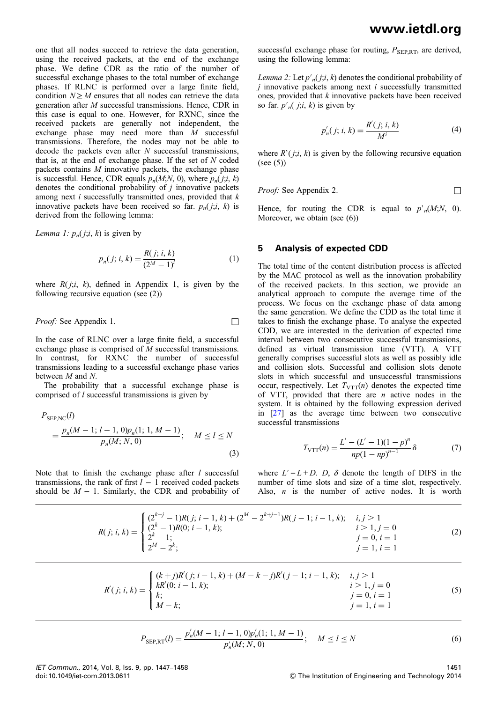one that all nodes succeed to retrieve the data generation, using the received packets, at the end of the exchange phase. We define CDR as the ratio of the number of successful exchange phases to the total number of exchange phases. If RLNC is performed over a large finite field, condition  $N > M$  ensures that all nodes can retrieve the data generation after M successful transmissions. Hence, CDR in this case is equal to one. However, for RXNC, since the received packets are generally not independent, the exchange phase may need more than M successful transmissions. Therefore, the nodes may not be able to decode the packets even after N successful transmissions, that is, at the end of exchange phase. If the set of  $N$  coded packets contains  $M$  innovative packets, the exchange phase is successful. Hence, CDR equals  $p_n(M;N, 0)$ , where  $p_n(j;i, k)$ denotes the conditional probability of  $j$  innovative packets among next *i* successfully transmitted ones, provided that  $k$ innovative packets have been received so far.  $p_n(i; i, k)$  is derived from the following lemma:

Lemma 1:  $p_n(i; i, k)$  is given by

$$
p_n(j; i, k) = \frac{R(j; i, k)}{(2^M - 1)^i}
$$
 (1)

where  $R(j;i, k)$ , defined in Appendix 1, is given by the following recursive equation (see (2))

*Proof:* See Appendix 1.  $\Box$ 

In the case of RLNC over a large finite field, a successful exchange phase is comprised of M successful transmissions. In contrast, for RXNC the number of successful transmissions leading to a successful exchange phase varies between M and N.

The probability that a successful exchange phase is comprised of l successful transmissions is given by

$$
P_{\text{SEP,NC}}(l)
$$
  
=  $\frac{p_n(M-1; l-1, 0)p_n(1; 1, M-1)}{p_n(M; N, 0)};$   $M \le l \le N$  (3)

Note that to finish the exchange phase after  $l$  successful transmissions, the rank of first  $l - 1$  received coded packets should be  $M - 1$ . Similarly, the CDR and probability of

successful exchange phase for routing,  $P_{\text{SEP,RT}}$ , are derived, using the following lemma:

Lemma 2: Let  $p'_n(j;i,k)$  denotes the conditional probability of  $j$  innovative packets among next  $i$  successfully transmitted ones, provided that  $k$  innovative packets have been received so far.  $p'_n(j;i,k)$  is given by

$$
p'_{n}(j; i, k) = \frac{R'(j; i, k)}{M^{i}}
$$
 (4)

where  $R'(j;i, k)$  is given by the following recursive equation  $(see (5))$ 

*Proof:* See Appendix 2.  $\Box$ 

Hence, for routing the CDR is equal to  $p'_n(M;N, 0)$ . Moreover, we obtain (see (6))

#### 5 Analysis of expected CDD

The total time of the content distribution process is affected by the MAC protocol as well as the innovation probability of the received packets. In this section, we provide an analytical approach to compute the average time of the process. We focus on the exchange phase of data among the same generation. We define the CDD as the total time it takes to finish the exchange phase. To analyse the expected CDD, we are interested in the derivation of expected time interval between two consecutive successful transmissions, defined as virtual transmission time (VTT). A VTT generally comprises successful slots as well as possibly idle and collision slots. Successful and collision slots denote slots in which successful and unsuccessful transmissions occur, respectively. Let  $T_{\text{VTT}}(n)$  denotes the expected time of VTT, provided that there are  $n$  active nodes in the system. It is obtained by the following expression derived in  $[27]$  as the average time between two consecutive successful transmissions

$$
T_{\text{VTT}}(n) = \frac{L' - (L' - 1)(1 - p)^n}{np(1 - np)^{n - 1}} \delta \tag{7}
$$

where  $L' = L + D$ . D,  $\delta$  denote the length of DIFS in the number of time slots and size of a time slot, respectively. Also,  $n$  is the number of active nodes. It is worth

$$
R(j; i, k) = \begin{cases} (2^{k+j} - 1)R(j; i - 1, k) + (2^M - 2^{k+j-1})R(j - 1; i - 1, k); & i, j > 1\\ (2^k - 1)R(0; i - 1, k); & i > 1, j = 0\\ 2^k - 1; & j = 0, i = 1\\ 2^M - 2^k; & j = 1, i = 1 \end{cases}
$$
(2)

$$
R'(j; i, k) = \begin{cases} (k+j)R'(j; i-1, k) + (M-k-j)R'(j-1; i-1, k); & i, j > 1\\ kR'(0; i-1, k); & i > 1, j = 0\\ k; & j = 0, i = 1\\ M - k; & j = 1, i = 1 \end{cases}
$$
(5)

$$
P_{\text{SEP,RT}}(l) = \frac{p'_n(M-1; l-1, 0)p'_n(1; 1, M-1)}{p'_n(M; N, 0)}; \quad M \le l \le N
$$
\n
$$
(6)
$$

1451 & The Institution of Engineering and Technology 2014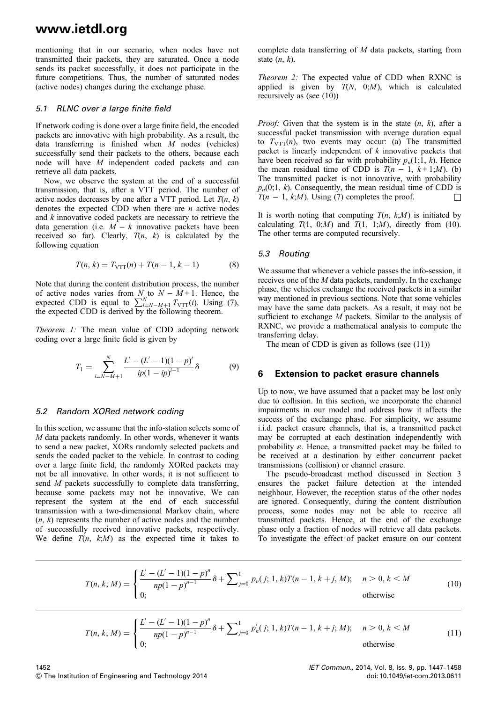mentioning that in our scenario, when nodes have not transmitted their packets, they are saturated. Once a node sends its packet successfully, it does not participate in the future competitions. Thus, the number of saturated nodes (active nodes) changes during the exchange phase.

#### 5.1 RLNC over a large finite field

If network coding is done over a large finite field, the encoded packets are innovative with high probability. As a result, the data transferring is finished when  $M$  nodes (vehicles) successfully send their packets to the others, because each node will have M independent coded packets and can retrieve all data packets.

Now, we observe the system at the end of a successful transmission, that is, after a VTT period. The number of active nodes decreases by one after a VTT period. Let  $T(n, k)$ denotes the expected CDD when there are  $n$  active nodes and k innovative coded packets are necessary to retrieve the data generation (i.e.  $M - k$  innovative packets have been received so far). Clearly,  $T(n, k)$  is calculated by the following equation

$$
T(n, k) = T_{\text{VTT}}(n) + T(n - 1, k - 1)
$$
 (8)

Note that during the content distribution process, the number of active nodes varies from N to  $N - M + 1$ . Hence, the expected CDD is equal to  $\sum_{i=N-M+1}^{N} T_{\text{VTT}}(i)$ . Using (7), the expected CDD is derived by the following theorem.

Theorem 1: The mean value of CDD adopting network coding over a large finite field is given by

$$
T_1 = \sum_{i=N-M+1}^{N} \frac{L' - (L'-1)(1-p)^i}{ip(1-ip)^{i-1}} \delta \tag{9}
$$

#### 5.2 Random XORed network coding

In this section, we assume that the info-station selects some of M data packets randomly. In other words, whenever it wants to send a new packet, XORs randomly selected packets and sends the coded packet to the vehicle. In contrast to coding over a large finite field, the randomly XORed packets may not be all innovative. In other words, it is not sufficient to send *M* packets successfully to complete data transferring, because some packets may not be innovative. We can represent the system at the end of each successful transmission with a two-dimensional Markov chain, where  $(n, k)$  represents the number of active nodes and the number of successfully received innovative packets, respectively. We define  $T(n, k;M)$  as the expected time it takes to

complete data transferring of M data packets, starting from state  $(n, k)$ .

Theorem 2: The expected value of CDD when RXNC is applied is given by  $T(N, 0; M)$ , which is calculated recursively as (see (10))

*Proof:* Given that the system is in the state  $(n, k)$ , after a successful packet transmission with average duration equal to  $T_{\text{VTT}}(n)$ , two events may occur: (a) The transmitted packet is linearly independent of k innovative packets that have been received so far with probability  $p_n(1;\overline{1}, k)$ . Hence the mean residual time of CDD is  $T(n - 1, k+1;M)$ . (b) The transmitted packet is not innovative, with probability  $p_n(0;1, k)$ . Consequently, the mean residual time of CDD is  $T(n-1, k; M)$ . Using (7) completes the proof.

It is worth noting that computing  $T(n, k;M)$  is initiated by calculating  $T(1, 0:M)$  and  $T(1, 1:M)$ , directly from (10). The other terms are computed recursively.

#### 5.3 Routing

We assume that whenever a vehicle passes the info-session, it receives one of the M data packets, randomly. In the exchange phase, the vehicles exchange the received packets in a similar way mentioned in previous sections. Note that some vehicles may have the same data packets. As a result, it may not be sufficient to exchange  $M$  packets. Similar to the analysis of RXNC, we provide a mathematical analysis to compute the transferring delay.

The mean of CDD is given as follows (see (11))

#### 6 Extension to packet erasure channels

Up to now, we have assumed that a packet may be lost only due to collision. In this section, we incorporate the channel impairments in our model and address how it affects the success of the exchange phase. For simplicity, we assume i.i.d. packet erasure channels, that is, a transmitted packet may be corrupted at each destination independently with probability  $\varepsilon$ . Hence, a transmitted packet may be failed to be received at a destination by either concurrent packet transmissions (collision) or channel erasure.

The pseudo-broadcast method discussed in Section 3 ensures the packet failure detection at the intended neighbour. However, the reception status of the other nodes are ignored. Consequently, during the content distribution process, some nodes may not be able to receive all transmitted packets. Hence, at the end of the exchange phase only a fraction of nodes will retrieve all data packets. To investigate the effect of packet erasure on our content

$$
T(n, k; M) = \begin{cases} \frac{L' - (L' - 1)(1 - p)^n}{np(1 - p)^{n - 1}} \delta + \sum_{j=0}^1 p_n(j; 1, k) T(n - 1, k + j, M); & n > 0, k < M \\ 0; & \text{otherwise} \end{cases}
$$
(10)

$$
T(n, k; M) = \begin{cases} \frac{L' - (L' - 1)(1 - p)^n}{np(1 - p)^{n - 1}} \delta + \sum_{j=0}^1 p'_n(j; 1, k) T(n - 1, k + j; M); & n > 0, k < M \\ 0; & \text{otherwise} \end{cases}
$$
(11)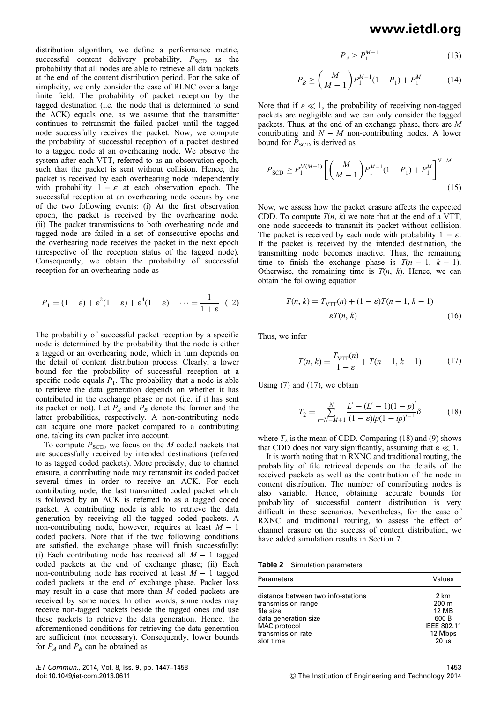$P_A \ge P_1^{M-1}$  (13)

$$
P_B \ge \binom{M}{M-1} P_1^{M-1} (1 - P_1) + P_1^M \tag{14}
$$

Note that if  $\varepsilon \ll 1$ , the probability of receiving non-tagged packets are negligible and we can only consider the tagged packets. Thus, at the end of an exchange phase, there are M contributing and  $N - M$  non-contributing nodes. A lower bound for  $P_{\text{SCD}}$  is derived as

$$
P_{\text{SCD}} \ge P_1^{M(M-1)} \left[ \binom{M}{M-1} P_1^{M-1} (1 - P_1) + P_1^M \right]^{N-M} \tag{15}
$$

Now, we assess how the packet erasure affects the expected CDD. To compute  $T(n, k)$  we note that at the end of a VTT, one node succeeds to transmit its packet without collision. The packet is received by each node with probability  $1 - \varepsilon$ . If the packet is received by the intended destination, the transmitting node becomes inactive. Thus, the remaining time to finish the exchange phase is  $T(n - 1, k - 1)$ . Otherwise, the remaining time is  $T(n, k)$ . Hence, we can obtain the following equation

$$
T(n, k) = TVTT(n) + (1 - \varepsilon)T(n - 1, k - 1)
$$
  
+  $\varepsilon T(n, k)$  (16)

Thus, we infer

$$
T(n, k) = \frac{T_{\text{VTT}}(n)}{1 - \varepsilon} + T(n - 1, k - 1)
$$
 (17)

Using (7) and (17), we obtain

$$
T_2 = \sum_{i=N-M+1}^{N} \frac{L' - (L'-1)(1-p)^i}{(1-\varepsilon)ip(1-ip)^{i-1}} \delta \tag{18}
$$

where  $T_2$  is the mean of CDD. Comparing (18) and (9) shows that CDD does not vary significantly, assuming that  $\varepsilon \ll 1$ .

It is worth noting that in RXNC and traditional routing, the probability of file retrieval depends on the details of the received packets as well as the contribution of the node in content distribution. The number of contributing nodes is also variable. Hence, obtaining accurate bounds for probability of successful content distribution is very difficult in these scenarios. Nevertheless, for the case of RXNC and traditional routing, to assess the effect of channel erasure on the success of content distribution, we have added simulation results in Section 7.

Table 2 Simulation parameters

| Parameters                         | Values           |
|------------------------------------|------------------|
| distance between two info-stations | 2 km             |
| transmission range                 | 200 <sub>m</sub> |
| file size                          | <b>12 MB</b>     |
| data generation size               | 600 B            |
| MAC protocol                       | IEEE 802.11      |
| transmission rate                  | 12 Mbps          |
| slot time                          | $20 \mu s$       |

1453 & The Institution of Engineering and Technology 2014

probability that all nodes are able to retrieve all data packets at the end of the content distribution period. For the sake of simplicity, we only consider the case of RLNC over a large finite field. The probability of packet reception by the tagged destination (i.e. the node that is determined to send the ACK) equals one, as we assume that the transmitter continues to retransmit the failed packet until the tagged node successfully receives the packet. Now, we compute the probability of successful reception of a packet destined to a tagged node at an overhearing node. We observe the system after each VTT, referred to as an observation epoch, such that the packet is sent without collision. Hence, the packet is received by each overhearing node independently with probability  $1 - \varepsilon$  at each observation epoch. The successful reception at an overhearing node occurs by one of the two following events: (i) At the first observation epoch, the packet is received by the overhearing node. (ii) The packet transmissions to both overhearing node and tagged node are failed in a set of consecutive epochs and the overhearing node receives the packet in the next epoch (irrespective of the reception status of the tagged node). Consequently, we obtain the probability of successful reception for an overhearing node as

distribution algorithm, we define a performance metric, successful content delivery probability,  $P<sub>SCD</sub>$  as the

$$
P_1 = (1 - \varepsilon) + \varepsilon^2 (1 - \varepsilon) + \varepsilon^4 (1 - \varepsilon) + \dots = \frac{1}{1 + \varepsilon} \tag{12}
$$

The probability of successful packet reception by a specific node is determined by the probability that the node is either a tagged or an overhearing node, which in turn depends on the detail of content distribution process. Clearly, a lower bound for the probability of successful reception at a specific node equals  $P_1$ . The probability that a node is able to retrieve the data generation depends on whether it has contributed in the exchange phase or not (i.e. if it has sent its packet or not). Let  $P_A$  and  $P_B$  denote the former and the latter probabilities, respectively. A non-contributing node can acquire one more packet compared to a contributing one, taking its own packet into account.

To compute  $P_{\text{SCD}}$ , we focus on the M coded packets that are successfully received by intended destinations (referred to as tagged coded packets). More precisely, due to channel erasure, a contributing node may retransmit its coded packet several times in order to receive an ACK. For each contributing node, the last transmitted coded packet which is followed by an ACK is referred to as a tagged coded packet. A contributing node is able to retrieve the data generation by receiving all the tagged coded packets. A non-contributing node, however, requires at least  $M - 1$ coded packets. Note that if the two following conditions are satisfied, the exchange phase will finish successfully: (i) Each contributing node has received all  $M - 1$  tagged coded packets at the end of exchange phase; (ii) Each non-contributing node has received at least  $M - 1$  tagged coded packets at the end of exchange phase. Packet loss may result in a case that more than M coded packets are received by some nodes. In other words, some nodes may receive non-tagged packets beside the tagged ones and use these packets to retrieve the data generation. Hence, the aforementioned conditions for retrieving the data generation are sufficient (not necessary). Consequently, lower bounds for  $P_A$  and  $P_B$  can be obtained as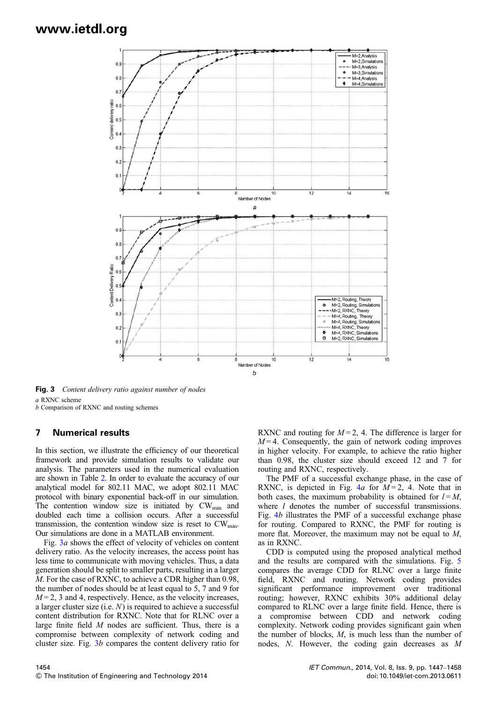

Fig. 3 Content delivery ratio against number of nodes a RXNC scheme b Comparison of RXNC and routing schemes

#### 7 Numerical results

In this section, we illustrate the efficiency of our theoretical framework and provide simulation results to validate our analysis. The parameters used in the numerical evaluation are shown in Table 2. In order to evaluate the accuracy of our analytical model for 802.11 MAC, we adopt 802.11 MAC protocol with binary exponential back-off in our simulation. The contention window size is initiated by CW<sub>min</sub> and doubled each time a collision occurs. After a successful transmission, the contention window size is reset to  $CW_{\text{min}}$ . Our simulations are done in a MATLAB environment.

Fig. 3a shows the effect of velocity of vehicles on content delivery ratio. As the velocity increases, the access point has less time to communicate with moving vehicles. Thus, a data generation should be split to smaller parts, resulting in a larger M. For the case of RXNC, to achieve a CDR higher than 0.98, the number of nodes should be at least equal to 5, 7 and 9 for  $M = 2$ , 3 and 4, respectively. Hence, as the velocity increases, a larger cluster size (i.e.  $N$ ) is required to achieve a successful content distribution for RXNC. Note that for RLNC over a large finite field  $M$  nodes are sufficient. Thus, there is a compromise between complexity of network coding and cluster size. Fig. 3b compares the content delivery ratio for RXNC and routing for  $M=2$ , 4. The difference is larger for  $M = 4$ . Consequently, the gain of network coding improves in higher velocity. For example, to achieve the ratio higher than 0.98, the cluster size should exceed 12 and 7 for routing and RXNC, respectively.

The PMF of a successful exchange phase, in the case of RXNC, is depicted in Fig. 4a for  $M=2$ , 4. Note that in both cases, the maximum probability is obtained for  $l = M$ , where *l* denotes the number of successful transmissions. Fig. 4b illustrates the PMF of a successful exchange phase for routing. Compared to RXNC, the PMF for routing is more flat. Moreover, the maximum may not be equal to M, as in RXNC.

CDD is computed using the proposed analytical method and the results are compared with the simulations. Fig. 5 compares the average CDD for RLNC over a large finite field, RXNC and routing. Network coding provides significant performance improvement over traditional routing; however, RXNC exhibits 30% additional delay compared to RLNC over a large finite field. Hence, there is a compromise between CDD and network coding complexity. Network coding provides significant gain when the number of blocks, M, is much less than the number of nodes, N. However, the coding gain decreases as M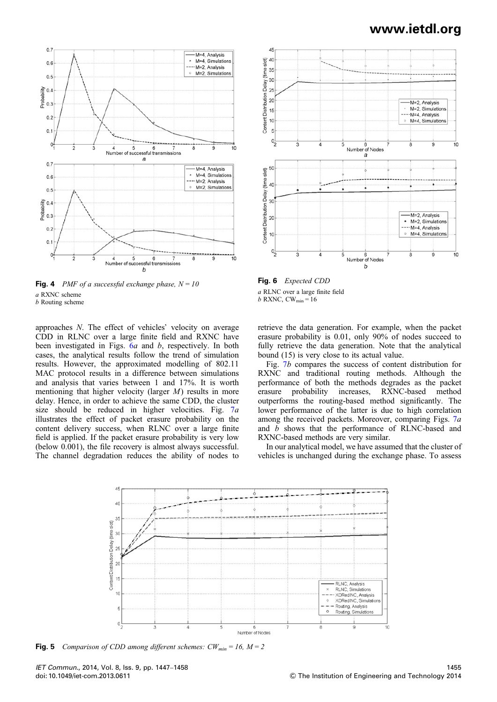

**Fig. 4** PMF of a successful exchange phase,  $N = 10$ a RXNC scheme b Routing scheme

approaches N. The effect of vehicles' velocity on average CDD in RLNC over a large finite field and RXNC have been investigated in Figs. 6a and b, respectively. In both cases, the analytical results follow the trend of simulation results. However, the approximated modelling of 802.11 MAC protocol results in a difference between simulations and analysis that varies between 1 and 17%. It is worth mentioning that higher velocity (larger  $M$ ) results in more delay. Hence, in order to achieve the same CDD, the cluster size should be reduced in higher velocities. Fig.  $7a$ illustrates the effect of packet erasure probability on the content delivery success, when RLNC over a large finite field is applied. If the packet erasure probability is very low (below 0.001), the file recovery is almost always successful. The channel degradation reduces the ability of nodes to



Fig. 6 Expected CDD a RLNC over a large finite field  $b$  RXNC, CW<sub>min</sub> = 16

retrieve the data generation. For example, when the packet erasure probability is 0.01, only 90% of nodes succeed to fully retrieve the data generation. Note that the analytical bound (15) is very close to its actual value.

Fig. 7b compares the success of content distribution for RXNC and traditional routing methods. Although the performance of both the methods degrades as the packet erasure probability increases, RXNC-based method outperforms the routing-based method significantly. The lower performance of the latter is due to high correlation among the received packets. Moreover, comparing Figs. 7a and b shows that the performance of RLNC-based and RXNC-based methods are very similar.

In our analytical model, we have assumed that the cluster of vehicles is unchanged during the exchange phase. To assess



**Fig. 5** Comparison of CDD among different schemes:  $CW_{min} = 16$ ,  $M = 2$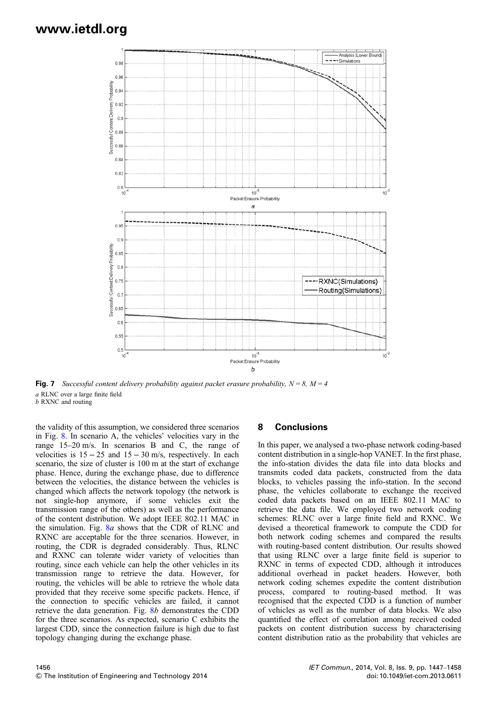

**Fig. 7** Successful content delivery probability against packet erasure probability,  $N = 8$ ,  $M = 4$ a RLNC over a large finite field b RXNC and routing

the validity of this assumption, we considered three scenarios in Fig. 8. In scenario A, the vehicles' velocities vary in the range 15–20 m/s. In scenarios B and C, the range of velocities is  $15 - 25$  and  $15 - 30$  m/s, respectively. In each scenario, the size of cluster is 100 m at the start of exchange phase. Hence, during the exchange phase, due to difference between the velocities, the distance between the vehicles is changed which affects the network topology (the network is not single-hop anymore, if some vehicles exit the transmission range of the others) as well as the performance of the content distribution. We adopt IEEE 802.11 MAC in the simulation. Fig. 8a shows that the CDR of RLNC and RXNC are acceptable for the three scenarios. However, in routing, the CDR is degraded considerably. Thus, RLNC and RXNC can tolerate wider variety of velocities than routing, since each vehicle can help the other vehicles in its transmission range to retrieve the data. However, for routing, the vehicles will be able to retrieve the whole data provided that they receive some specific packets. Hence, if the connection to specific vehicles are failed, it cannot retrieve the data generation. Fig. 8b demonstrates the CDD for the three scenarios. As expected, scenario C exhibits the largest CDD, since the connection failure is high due to fast topology changing during the exchange phase.

#### 8 Conclusions

In this paper, we analysed a two-phase network coding-based content distribution in a single-hop VANET. In the first phase, the info-station divides the data file into data blocks and transmits coded data packets, constructed from the data blocks, to vehicles passing the info-station. In the second phase, the vehicles collaborate to exchange the received coded data packets based on an IEEE 802.11 MAC to retrieve the data file. We employed two network coding schemes: RLNC over a large finite field and RXNC. We devised a theoretical framework to compute the CDD for both network coding schemes and compared the results with routing-based content distribution. Our results showed that using RLNC over a large finite field is superior to RXNC in terms of expected CDD, although it introduces additional overhead in packet headers. However, both network coding schemes expedite the content distribution process, compared to routing-based method. It was recognised that the expected CDD is a function of number of vehicles as well as the number of data blocks. We also quantified the effect of correlation among received coded packets on content distribution success by characterising content distribution ratio as the probability that vehicles are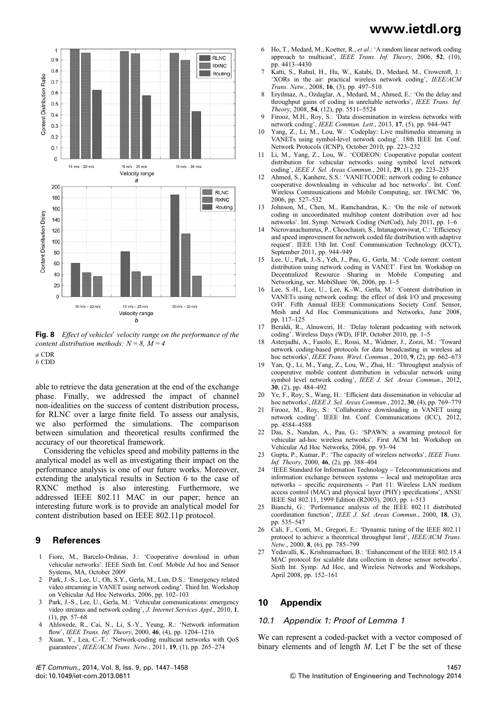![](_page_10_Figure_0.jpeg)

Fig. 8 Effect of vehicles' velocity range on the performance of the content distribution methods:  $N = 8$ ,  $M = 4$ 

a CDR b CDD

able to retrieve the data generation at the end of the exchange phase. Finally, we addressed the impact of channel non-idealities on the success of content distribution process, for RLNC over a large finite field. To assess our analysis, we also performed the simulations. The comparison between simulation and theoretical results confirmed the accuracy of our theoretical framework.

Considering the vehicles speed and mobility patterns in the analytical model as well as investigating their impact on the performance analysis is one of our future works. Moreover, extending the analytical results in Section 6 to the case of RXNC method is also interesting. Furthermore, we addressed IEEE 802.11 MAC in our paper; hence an interesting future work is to provide an analytical model for content distribution based on IEEE 802.11p protocol.

#### 9 References

- 1 Fiore, M., Barcelo-Ordinas, J.: 'Cooperative download in urban vehicular networks'. IEEE Sixth Int. Conf. Mobile Ad hoc and Sensor Systems, MA, October 2009
- 2 Park, J.-S., Lee, U., Oh, S.Y., Gerla, M., Lun, D.S.: 'Emergency related video streaming in VANET using network coding'. Third Int. Workshop on Vehicular Ad Hoc Networks, 2006, pp. 102–103
- 3 Park, J.-S., Lee, U., Gerla, M.: 'Vehicular communications: emergency video streams and network coding', J. Internet Services Appl., 2010, 1, (1), pp. 57–68
- 4 Ahlswede, R., Cai, N., Li, S.-Y., Yeung, R.: 'Network information flow', IEEE Trans. Inf. Theory, 2000, 46, (4), pp. 1204–1216
- 5 Xuan, Y., Lea, C.-T.: 'Network-coding multicast networks with QoS guarantees', IEEE/ACM Trans. Netw., 2011, 19, (1), pp. 265-274
- www.ietdl.org
- 6 Ho, T., Medard, M., Koetter, R., et al.: 'A random linear network coding approach to multicast', IEEE Trans. Inf. Theory, 2006, 52, (10), pp. 4413–4430
- 7 Katti, S., Rahul, H., Hu, W., Katabi, D., Medard, M., Crowcroft, J.: 'XORs in the air: practical wireless network coding', IEEE/ACM Trans. Netw., 2008, 16, (3), pp. 497–510
- 8 Eryilmaz, A., Ozdaglar, A., Medard, M., Ahmed, E.: 'On the delay and throughput gains of coding in unreliable networks', IEEE Trans. Inf. Theory, 2008, 54, (12), pp. 5511–5524
- 9 Firooz, M.H., Roy, S.: 'Data dissemination in wireless networks with network coding', IEEE Commun. Lett., 2013, 17, (5), pp. 944–947
- 10 Yang, Z., Li, M., Lou, W.: 'Codeplay: Live multimedia streaming in VANETs using symbol-level network coding'. 18th IEEE Int. Conf. Network Protocols (ICNP), October 2010, pp. 223–232
- 11 Li, M., Yang, Z., Lou, W.: 'CODEON: Cooperative popular content distribution for vehicular networks using symbol level network coding', IEEE J. Sel. Areas Commun., 2011, 29, (1), pp. 223–235
- 12 Ahmed, S., Kanhere, S.S.: 'VANETCODE: network coding to enhance cooperative downloading in vehicular ad hoc networks'. Int. Conf. Wireless Communications and Mobile Computing, ser. IWCMC '06, 2006, pp. 527–532
- 13 Johnson, M., Chen, M., Ramchandran, K.: 'On the role of network coding in uncoordinated multihop content distribution over ad hoc networks'. Int. Symp. Network Coding (NetCod), July 2011, pp. 1–6
- 14 Nicrovanachumrus, P., Choochaisri, S., Intanagonwiwat, C.: 'Efficiency and speed improvement for network coded file distribution with adaptive request'. IEEE 13th Int. Conf. Communication Technology (ICCT), September 2011, pp. 944–949
- Lee, U., Park, J.-S., Yeh, J., Pau, G., Gerla, M.: 'Code torrent: content distribution using network coding in VANET'. First Int. Workshop on Decentralized Resource Sharing in Mobile Computing and Networking, ser. MobiShare '06, 2006, pp. 1–5
- 16 Lee, S.-H., Lee, U., Lee, K.-W., Gerla, M.: 'Content distribution in VANETs using network coding: the effect of disk I/O and processing O/H'. Fifth Annual IEEE Communications Society Conf. Sensor, Mesh and Ad Hoc Communications and Networks, June 2008, pp. 117–125
- 17 Beraldi, R., Alnuweiri, H.: 'Delay tolerant podcasting with network coding'. Wireless Days (WD), IFIP, October 2010, pp. 1–5
- 18 Asterjadhi, A., Fasolo, E., Rossi, M., Widmer, J., Zorzi, M.: 'Toward network coding-based protocols for data broadcasting in wireless ad hoc networks', IEEE Trans. Wirel. Commun., 2010, 9, (2), pp. 662–673
- 19 Yan, Q., Li, M., Yang, Z., Lou, W., Zhai, H.: 'Throughput analysis of cooperative mobile content distribution in vehicular network using symbol level network coding', IEEE J. Sel. Areas Commun., 2012, 30, (2), pp. 484–492
- 20 Ye, F., Roy, S., Wang, H.: 'Efficient data dissemination in vehicular ad hoc networks', IEEE J. Sel. Areas Commun., 2012, 30, (4), pp. 769–779
- Firooz, M., Roy, S.: 'Collaborative downloading in VANET using network coding'. IEEE Int. Conf. Communications (ICC), 2012, pp. 4584–4588
- 22 Das, S., Nandan, A., Pau, G.: 'SPAWN: a swarming protocol for vehicular ad-hoc wireless networks'. First ACM Int. Workshop on Vehicular Ad Hoc Networks, 2004, pp. 93–94
- 23 Gupta, P., Kumar, P.: 'The capacity of wireless networks', IEEE Trans. Inf. Theory, 2000, 46, (2), pp. 388–404
- 24 'IEEE Standard for Information Technology Telecommunications and information exchange between systems – local and metropolitan area networks – specific requirements – Part 11: Wireless LAN medium access control (MAC) and physical layer (PHY) specifications', ANSI/ IEEE Std 802.11, 1999 Edition (R2003), 2003, pp. i–513
- 25 Bianchi, G.: 'Performance analysis of the IEEE 802.11 distributed coordination function', IEEE J. Sel. Areas Commun., 2000, 18, (3), pp. 535–547
- 26 Cali, F., Conti, M., Gregori, E.: 'Dynamic tuning of the IEEE 802.11 protocol to achieve a theoretical throughput limit', IEEE/ACM Trans. Netw., 2000, 8, (6), pp. 785–799
- 27 Yedavalli, K., Krishnamachari, B.: 'Enhancement of the IEEE 802.15.4 MAC protocol for scalable data collection in dense sensor networks'. Sixth Int. Symp. Ad Hoc, and Wireless Networks and Workshops, April 2008, pp. 152–161

### 10 Appendix

#### 10.1 Appendix 1: Proof of Lemma 1

We can represent a coded-packet with a vector composed of binary elements and of length M. Let  $\Gamma$  be the set of these